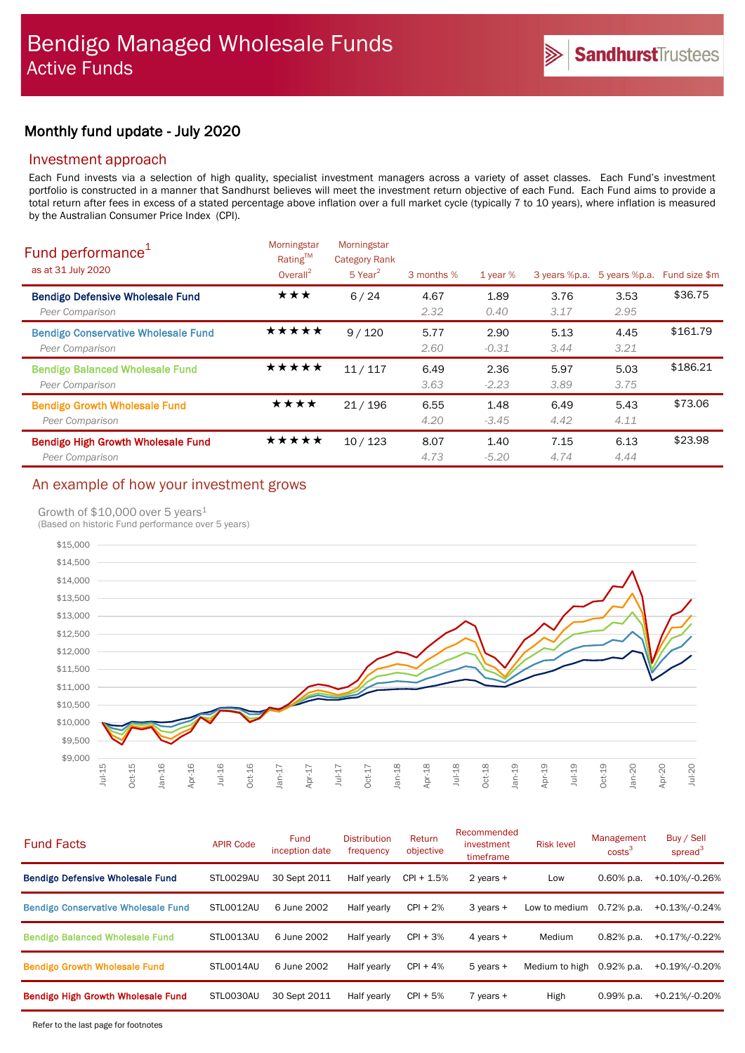# Monthly fund update - July 2020

### Investment approach

Each Fund invests via a selection of high quality, specialist investment managers across a variety of asset classes. Each Fund's investment portfolio is constructed in a manner that Sandhurst believes will meet the investment return objective of each Fund. Each Fund aims to provide a total return after fees in excess of a stated percentage above inflation over a full market cycle (typically 7 to 10 years), where inflation is measured by the Australian Consumer Price Index (CPI).

| Fund performance <sup>1</sup><br>as at 31 July 2020           | Morningstar<br>Rating™<br>Overall <sup>2</sup> | Morningstar<br><b>Category Rank</b><br>$5$ Year <sup>2</sup> | 3 months %   | 1 year $%$      | 3 years %p.a. | 5 years %p.a. | Fund size \$m |
|---------------------------------------------------------------|------------------------------------------------|--------------------------------------------------------------|--------------|-----------------|---------------|---------------|---------------|
| <b>Bendigo Defensive Wholesale Fund</b><br>Peer Comparison    | ★★★                                            | 6/24                                                         | 4.67<br>2.32 | 1.89<br>0.40    | 3.76<br>3.17  | 3.53<br>2.95  | \$36.75       |
| <b>Bendigo Conservative Wholesale Fund</b><br>Peer Comparison | ★★★★★                                          | 9/120                                                        | 5.77<br>2.60 | 2.90<br>$-0.31$ | 5.13<br>3.44  | 4.45<br>3.21  | \$161.79      |
| <b>Bendigo Balanced Wholesale Fund</b><br>Peer Comparison     | ★★★★★                                          | 11/117                                                       | 6.49<br>3.63 | 2.36<br>$-2.23$ | 5.97<br>3.89  | 5.03<br>3.75  | \$186.21      |
| <b>Bendigo Growth Wholesale Fund</b><br>Peer Comparison       | ★★★★                                           | 21/196                                                       | 6.55<br>4.20 | 1.48<br>$-3.45$ | 6.49<br>4.42  | 5.43<br>4.11  | \$73.06       |
| <b>Bendigo High Growth Wholesale Fund</b><br>Peer Comparison  | ★★★★★                                          | 10/123                                                       | 8.07<br>4.73 | 1.40<br>$-5.20$ | 7.15<br>4.74  | 6.13<br>4.44  | \$23.98       |

# An example of how your investment grows

### Growth of \$10,000 over 5 years<sup>1</sup>

(Based on historic Fund performance over 5 years)



| <b>Fund Facts</b>                          | <b>APIR Code</b> | <b>Fund</b><br>inception date | <b>Distribution</b><br>frequency | Return<br>objective | Recommended<br>investment<br>timeframe | <b>Risk level</b> | Management<br>costs <sup>3</sup> | Buy / Sell<br>spread <sup>3</sup> |
|--------------------------------------------|------------------|-------------------------------|----------------------------------|---------------------|----------------------------------------|-------------------|----------------------------------|-----------------------------------|
| <b>Bendigo Defensive Wholesale Fund</b>    | STL0029AU        | 30 Sept 2011                  | Half yearly                      | $CPI + 1.5%$        | 2 years +                              | Low               | $0.60\%$ p.a.                    | +0.10%/-0.26%                     |
| <b>Bendigo Conservative Wholesale Fund</b> | STLO012AU        | 6 June 2002                   | Half yearly                      | $CPI + 2%$          | 3 years +                              | Low to medium     | 0.72% p.a.                       | +0.13%/-0.24%                     |
| <b>Bendigo Balanced Wholesale Fund</b>     | STLO013AU        | 6 June 2002                   | Half yearly                      | $CPI + 3%$          | 4 years +                              | Medium            | $0.82%$ p.a.                     | +0.17%/-0.22%                     |
| <b>Bendigo Growth Wholesale Fund</b>       | STLO014AU        | 6 June 2002                   | Half yearly                      | $CPI + 4%$          | $5$ years $+$                          | Medium to high    | $0.92%$ p.a.                     | +0.19%/-0.20%                     |
| <b>Bendigo High Growth Wholesale Fund</b>  | STLO030AU        | 30 Sept 2011                  | Half yearly                      | $CPI + 5%$          | 7 years +                              | High              | $0.99%$ p.a.                     | +0.21%/-0.20%                     |
|                                            |                  |                               |                                  |                     |                                        |                   |                                  |                                   |

Refer to the last page for footnotes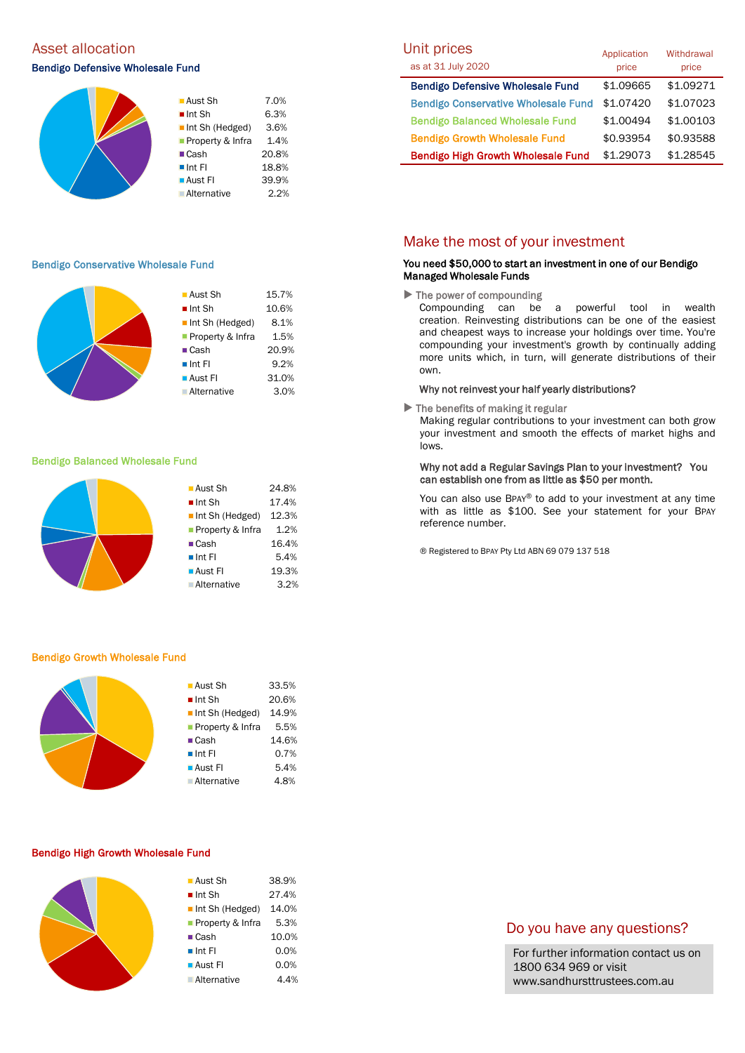# Asset allocation and the Unit prices of the Unit prices of Unit prices and Unit prices

### Bendigo Defensive Wholesale Fund



### Bendigo Conservative Wholesale Fund

|  | $\blacksquare$ Aust Sh         | 15.7% |
|--|--------------------------------|-------|
|  | $\blacksquare$ Int Sh          | 10.6% |
|  | $\blacksquare$ Int Sh (Hedged) | 8.1%  |
|  | Property & Infra               | 1.5%  |
|  | $\blacksquare$ Cash            | 20.9% |
|  | $\blacksquare$ Int Fl          | 9.2%  |
|  | ■ Aust Fl                      | 31.0% |
|  | <b>Alternative</b>             | 3.0%  |
|  |                                |       |

#### Bendigo Balanced Wholesale Fund



#### Bendigo Growth Wholesale Fund

|  | ■ Aust Sh                      | 33.5% |
|--|--------------------------------|-------|
|  | $\blacksquare$ Int Sh          | 20.6% |
|  | $\blacksquare$ Int Sh (Hedged) | 14.9% |
|  | Property & Infra               | 5.5%  |
|  | $\blacksquare$ Cash            | 14.6% |
|  | $\blacksquare$ Int FI          | 0.7%  |
|  | $\blacksquare$ Aust FI         | 5.4%  |
|  | <b>Alternative</b>             | 4.8%  |
|  |                                |       |

#### Bendigo High Growth Wholesale Fund

| ■ Aust Sh                      | 38.9% |
|--------------------------------|-------|
| $\blacksquare$ Int Sh          | 27.4% |
| $\blacksquare$ Int Sh (Hedged) | 14.0% |
| <b>Property &amp; Infra</b>    | 5.3%  |
| $\blacksquare$ Cash            | 10.0% |
| $\blacksquare$ Int Fl          | 0.0%  |
| $\blacksquare$ Aust FI         | 0.0%  |
| ■ Alternative                  | 4.4%  |
|                                |       |

| Unit prices<br>as at 31 July 2020          | Application<br>price | Withdrawal<br>price |
|--------------------------------------------|----------------------|---------------------|
| <b>Bendigo Defensive Wholesale Fund</b>    | \$1.09665            | \$1.09271           |
| <b>Bendigo Conservative Wholesale Fund</b> | \$1.07420            | \$1.07023           |
| <b>Bendigo Balanced Wholesale Fund</b>     | \$1.00494            | \$1.00103           |
| <b>Bendigo Growth Wholesale Fund</b>       | \$0.93954            | \$0.93588           |
| <b>Bendigo High Growth Wholesale Fund</b>  | \$1.29073            | \$1.28545           |

### Make the most of your investment

### You need \$50,000 to start an investment in one of our Bendigo Managed Wholesale Funds

 $\blacktriangleright$  The power of compounding

Compounding can be a powerful tool in wealth creation. Reinvesting distributions can be one of the easiest and cheapest ways to increase your holdings over time. You're compounding your investment's growth by continually adding more units which, in turn, will generate distributions of their own.

#### Why not reinvest your half yearly distributions?

 $\blacktriangleright$  The benefits of making it regular

Making regular contributions to your investment can both grow your investment and smooth the effects of market highs and lows.

### Why not add a Regular Savings Plan to your investment? You can establish one from as little as \$50 per month.

You can also use BPAY® to add to your investment at any time with as little as \$100. See your statement for your BPAY reference number.

® Registered to BPAY Pty Ltd ABN 69 079 137 518

### Do you have any questions?

For further information contact us on 1800 634 969 or visit www.sandhursttrustees.com.au